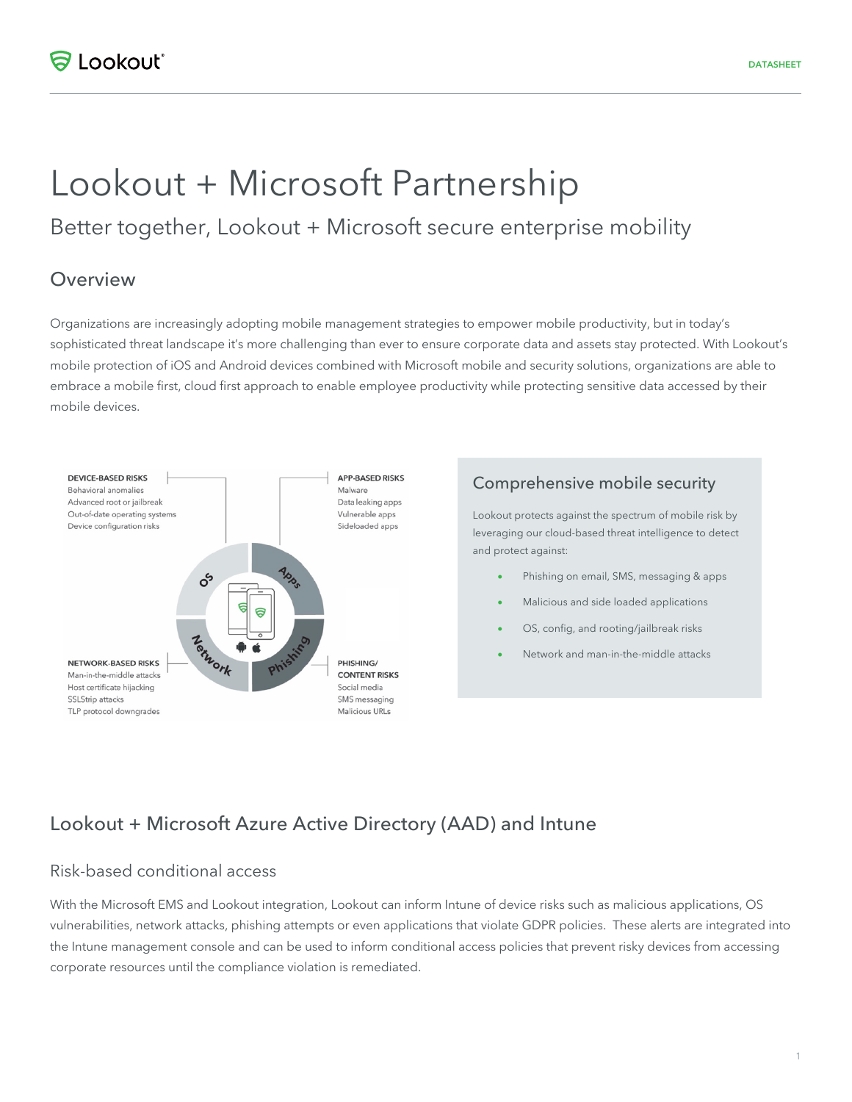# Lookout + Microsoft Partnership

# Better together, Lookout + Microsoft secure enterprise mobility

## Overview

Organizations are increasingly adopting mobile management strategies to empower mobile productivity, but in today's sophisticated threat landscape it's more challenging than ever to ensure corporate data and assets stay protected. With Lookout's mobile protection of iOS and Android devices combined with Microsoft mobile and security solutions, organizations are able to embrace a mobile first, cloud first approach to enable employee productivity while protecting sensitive data accessed by their mobile devices.



#### Comprehensive mobile security

Lookout protects against the spectrum of mobile risk by leveraging our cloud-based threat intelligence to detect and protect against:

- Phishing on email, SMS, messaging & apps
- Malicious and side loaded applications
- OS, config, and rooting/jailbreak risks
- Network and man-in-the-middle attacks

## Lookout + Microsoft Azure Active Directory (AAD) and Intune

#### Risk-based conditional access

With the Microsoft EMS and Lookout integration, Lookout can inform Intune of device risks such as malicious applications, OS vulnerabilities, network attacks, phishing attempts or even applications that violate GDPR policies. These alerts are integrated into the Intune management console and can be used to inform conditional access policies that prevent risky devices from accessing corporate resources until the compliance violation is remediated.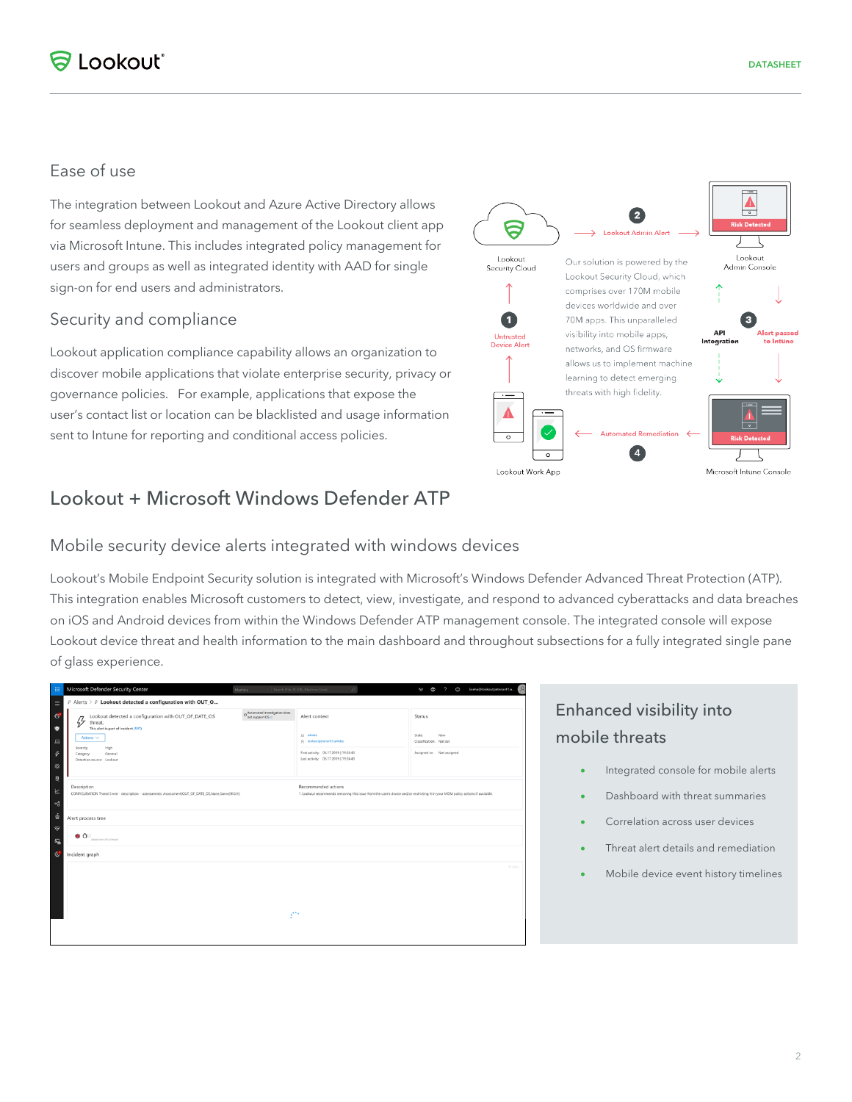## Ease of use

The integration between Lookout and Azure Active Directory allows for seamless deployment and management of the Lookout client app via Microsoft Intune. This includes integrated policy management for users and groups as well as integrated identity with AAD for single sign-on for end users and administrators.

#### Security and compliance

Lookout application compliance capability allows an organization to discover mobile applications that violate enterprise security, privacy or governance policies. For example, applications that expose the user's contact list or location can be blacklisted and usage information sent to Intune for reporting and conditional access policies.

## Lookout + Microsoft Windows Defender ATP

#### Mobile security device alerts integrated with windows devices

Lookout's Mobile Endpoint Security solution is integrated with Microsoft's Windows Defender Advanced Threat Protection (ATP). This integration enables Microsoft customers to detect, view, investigate, and respond to advanced cyberattacks and data breaches on iOS and Android devices from within the Windows Defender ATP management console. The integrated console will expose Lookout device threat and health information to the main dashboard and throughout subsections for a fully integrated single pane of glass experience.

| m                                                 | Microsoft Defender Security Center                                                                                                                                                                       | Machine                                            | $\circ$<br>Search (File, IP, URL, Machine, User)                                                                                                       | Sneha@lookoutpetenant1.o<br>$\mathcal{R}$<br>$\odot$<br>Ф<br>$\circ$<br>Agh            |  |
|---------------------------------------------------|----------------------------------------------------------------------------------------------------------------------------------------------------------------------------------------------------------|----------------------------------------------------|--------------------------------------------------------------------------------------------------------------------------------------------------------|----------------------------------------------------------------------------------------|--|
| $\equiv$                                          | $\hat{\varphi}$ Alerts > $\hat{\varphi}$ Lookout detected a configuration with OUT_O                                                                                                                     |                                                    |                                                                                                                                                        |                                                                                        |  |
| $\mathbf{G}$<br>¢<br>$\Box$<br>$\mathcal{G}$<br>¢ | Lookout detected a configuration with OUT_OF_DATE_OS<br>B<br>threat.<br>This alert is part of incident (597)<br>Actions $\vee$<br>Severity:<br>High<br>Category:<br>General<br>Detection source: Lookout | O Automated investigation does<br>not support OS @ | Alert context<br>El afwba<br>Q lookoutpetenantTu-liiba<br>First activity: 06.17.2019   19.24:43<br>Last activity: 06.17.2019   19:24:43                | Status<br><b>State:</b><br>New<br>Classification: Not set<br>Assigned to: Not assigned |  |
| $\theta$<br>$\mathbbmss{E}$<br>ಳ                  | Description<br>CONFIGURATION Threat Event - description: - assessments: Assessment(OUT_OF_DATE_OS,None,Some(HIGH))                                                                                       |                                                    | Recommended actions<br>1. Lookout recommends removing this issue from the user's device and/or restricting it in your MDM policy actions if available. |                                                                                        |  |
| 츞                                                 | Alert process tree                                                                                                                                                                                       |                                                    |                                                                                                                                                        |                                                                                        |  |
| ❤<br>$E_{\rm B}$                                  | $\bullet$ $\circ$<br>detection of a threat                                                                                                                                                               |                                                    |                                                                                                                                                        |                                                                                        |  |
| G,                                                | Incident graph                                                                                                                                                                                           |                                                    |                                                                                                                                                        |                                                                                        |  |
|                                                   | 30 Days<br>$\mathcal{L}^{\text{reg}}$                                                                                                                                                                    |                                                    |                                                                                                                                                        |                                                                                        |  |
|                                                   |                                                                                                                                                                                                          |                                                    |                                                                                                                                                        |                                                                                        |  |

## Enhanced visibility into mobile threats

- Integrated console for mobile alerts
- Dashboard with threat summaries
- Correlation across user devices
- Threat alert details and remediation
- Mobile device event history timelines